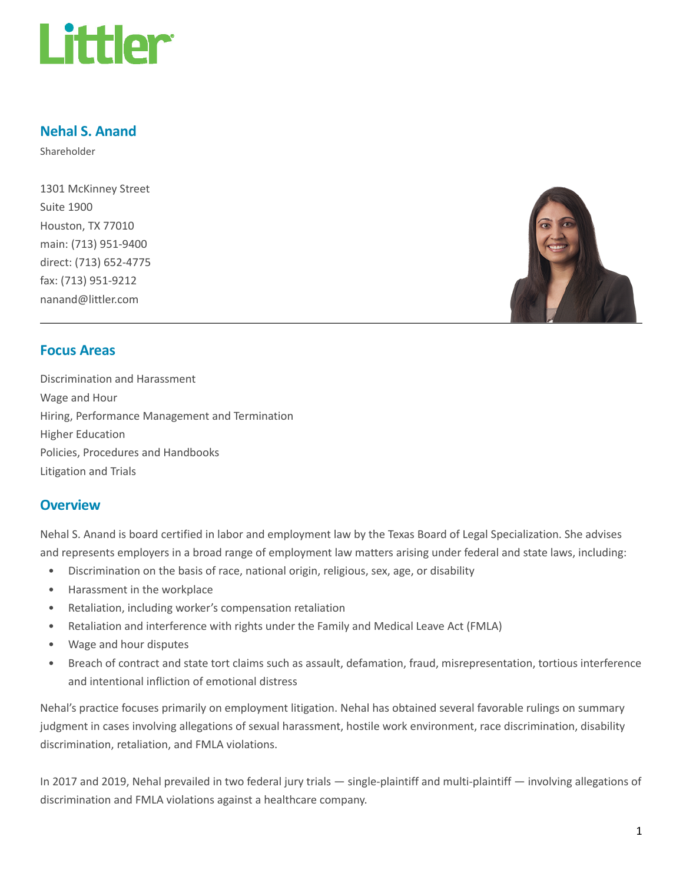

## Nehal S. Anand

Shareholder

1301 McKinney Street Suite 1900 Houston, TX 77010 main: (713) 951-9400 direct: (713) 652-4775 fax: (713) 951-9212 nanand@littler.com



## Focus Areas

Discrimination and Harassment Wage and Hour Hiring, Performance Management and Termination Higher Education Policies, Procedures and Handbooks Litigation and Trials

## **Overview**

Nehal S. Anand is board certified in labor and employment law by the Texas Board of Legal Specialization. She advises and represents employers in a broad range of employment law matters arising under federal and state laws, including:

- Discrimination on the basis of race, national origin, religious, sex, age, or disability
- Harassment in the workplace
- Retaliation, including worker's compensation retaliation
- Retaliation and interference with rights under the Family and Medical Leave Act (FMLA)
- Wage and hour disputes
- Breach of contract and state tort claims such as assault, defamation, fraud, misrepresentation, tortious interference and intentional infliction of emotional distress

Nehal's practice focuses primarily on employment litigation. Nehal has obtained several favorable rulings on summary judgment in cases involving allegations of sexual harassment, hostile work environment, race discrimination, disability discrimination, retaliation, and FMLA violations.

In 2017 and 2019, Nehal prevailed in two federal jury trials — single-plaintiff and multi-plaintiff — involving allegations of discrimination and FMLA violations against a healthcare company.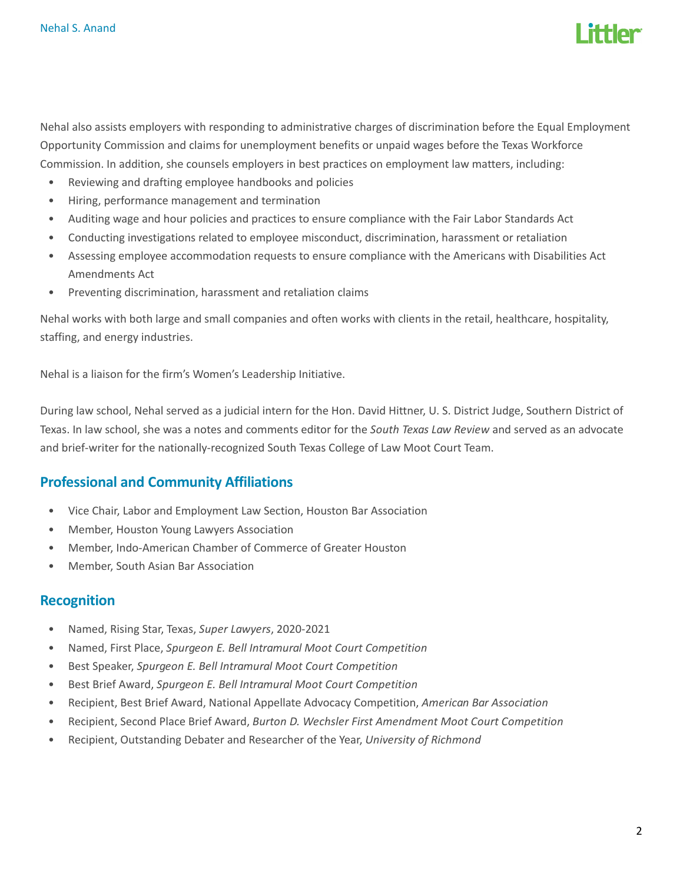

Nehal also assists employers with responding to administrative charges of discrimination before the Equal Employment Opportunity Commission and claims for unemployment benefits or unpaid wages before the Texas Workforce Commission. In addition, she counsels employers in best practices on employment law matters, including:

- Reviewing and drafting employee handbooks and policies
- Hiring, performance management and termination
- Auditing wage and hour policies and practices to ensure compliance with the Fair Labor Standards Act
- Conducting investigations related to employee misconduct, discrimination, harassment or retaliation
- Assessing employee accommodation requests to ensure compliance with the Americans with Disabilities Act Amendments Act
- Preventing discrimination, harassment and retaliation claims

Nehal works with both large and small companies and often works with clients in the retail, healthcare, hospitality, staffing, and energy industries.

Nehal is a liaison for the firm's Women's Leadership Initiative.

During law school, Nehal served as a judicial intern for the Hon. David Hittner, U. S. District Judge, Southern District of Texas. In law school, she was a notes and comments editor for the South Texas Law Review and served as an advocate and brief-writer for the nationally-recognized South Texas College of Law Moot Court Team.

## Professional and Community Affiliations

- Vice Chair, Labor and Employment Law Section, Houston Bar Association
- Member, Houston Young Lawyers Association
- Member, Indo-American Chamber of Commerce of Greater Houston
- Member, South Asian Bar Association

## Recognition

- Named, Rising Star, Texas, Super Lawyers, 2020-2021
- Named, First Place, Spurgeon E. Bell Intramural Moot Court Competition
- Best Speaker, Spurgeon E. Bell Intramural Moot Court Competition
- Best Brief Award, Spurgeon E. Bell Intramural Moot Court Competition
- Recipient, Best Brief Award, National Appellate Advocacy Competition, American Bar Association
- Recipient, Second Place Brief Award, Burton D. Wechsler First Amendment Moot Court Competition
- Recipient, Outstanding Debater and Researcher of the Year, University of Richmond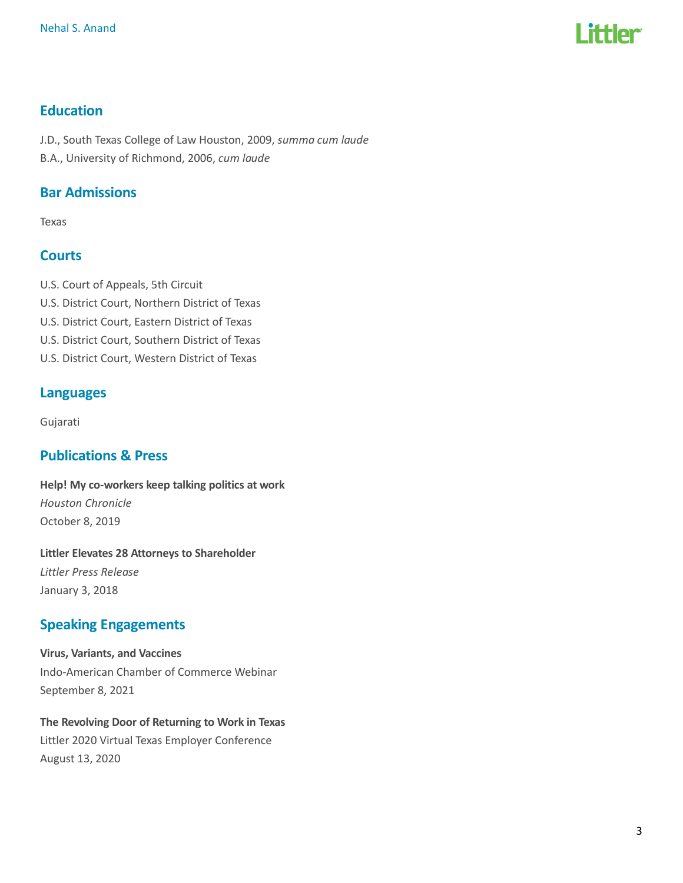

## **Education**

J.D., South Texas College of Law Houston, 2009, summa cum laude B.A., University of Richmond, 2006, cum laude

## Bar Admissions

Texas

## **Courts**

- U.S. Court of Appeals, 5th Circuit
- U.S. District Court, Northern District of Texas
- U.S. District Court, Eastern District of Texas
- U.S. District Court, Southern District of Texas
- U.S. District Court, Western District of Texas

## Languages

Gujarati

## Publications & Press

Help! My co-workers keep talking politics at work Houston Chronicle October 8, 2019

Littler Elevates 28 Attorneys to Shareholder Littler Press Release January 3, 2018

## Speaking Engagements

Virus, Variants, and Vaccines Indo-American Chamber of Commerce Webinar September 8, 2021

# The Revolving Door of Returning to Work in Texas

Littler 2020 Virtual Texas Employer Conference August 13, 2020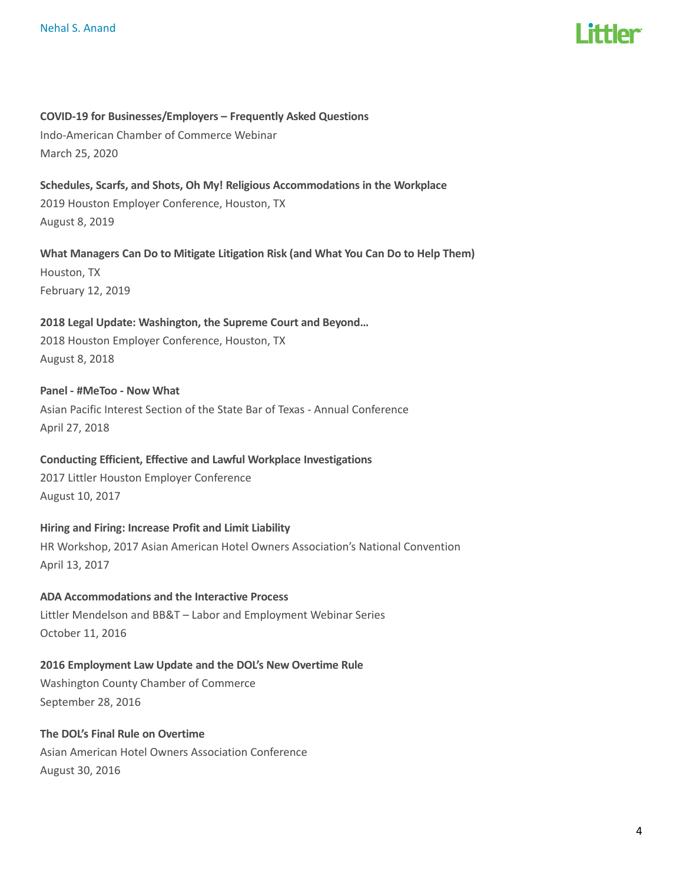

### COVID-19 for Businesses/Employers – Frequently Asked Questions

Indo-American Chamber of Commerce Webinar March 25, 2020

Schedules, Scarfs, and Shots, Oh My! Religious Accommodations in the Workplace 2019 Houston Employer Conference, Houston, TX August 8, 2019

What Managers Can Do to Mitigate Litigation Risk (and What You Can Do to Help Them) Houston, TX February 12, 2019

## 2018 Legal Update: Washington, the Supreme Court and Beyond…

2018 Houston Employer Conference, Houston, TX August 8, 2018

Panel - #MeToo - Now What Asian Pacific Interest Section of the State Bar of Texas - Annual Conference April 27, 2018

## Conducting Efficient, Effective and Lawful Workplace Investigations

2017 Littler Houston Employer Conference August 10, 2017

### Hiring and Firing: Increase Profit and Limit Liability

HR Workshop, 2017 Asian American Hotel Owners Association's National Convention April 13, 2017

### ADA Accommodations and the Interactive Process

Littler Mendelson and BB&T – Labor and Employment Webinar Series October 11, 2016

### 2016 Employment Law Update and the DOL's New Overtime Rule

Washington County Chamber of Commerce September 28, 2016

### The DOL's Final Rule on Overtime Asian American Hotel Owners Association Conference

August 30, 2016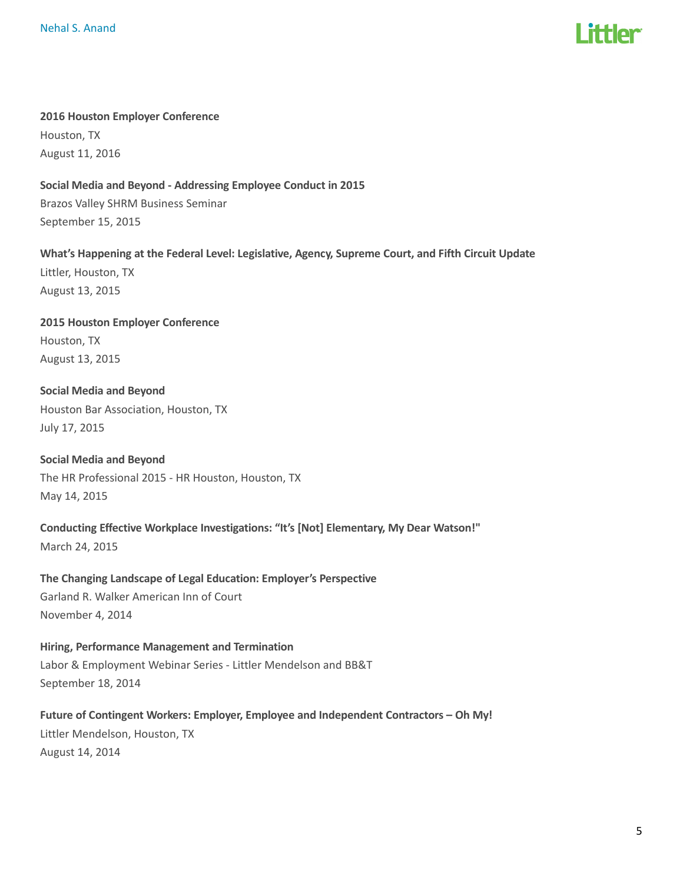

#### 2016 Houston Employer Conference

Houston, TX August 11, 2016

### Social Media and Beyond - Addressing Employee Conduct in 2015

Brazos Valley SHRM Business Seminar September 15, 2015

What's Happening at the Federal Level: Legislative, Agency, Supreme Court, and Fifth Circuit Update Littler, Houston, TX August 13, 2015

2015 Houston Employer Conference Houston, TX August 13, 2015

Social Media and Beyond Houston Bar Association, Houston, TX July 17, 2015

Social Media and Beyond The HR Professional 2015 - HR Houston, Houston, TX May 14, 2015

Conducting Effective Workplace Investigations: "It's [Not] Elementary, My Dear Watson!" March 24, 2015

The Changing Landscape of Legal Education: Employer's Perspective Garland R. Walker American Inn of Court November 4, 2014

Hiring, Performance Management and Termination Labor & Employment Webinar Series - Littler Mendelson and BB&T September 18, 2014

Future of Contingent Workers: Employer, Employee and Independent Contractors – Oh My! Littler Mendelson, Houston, TX August 14, 2014